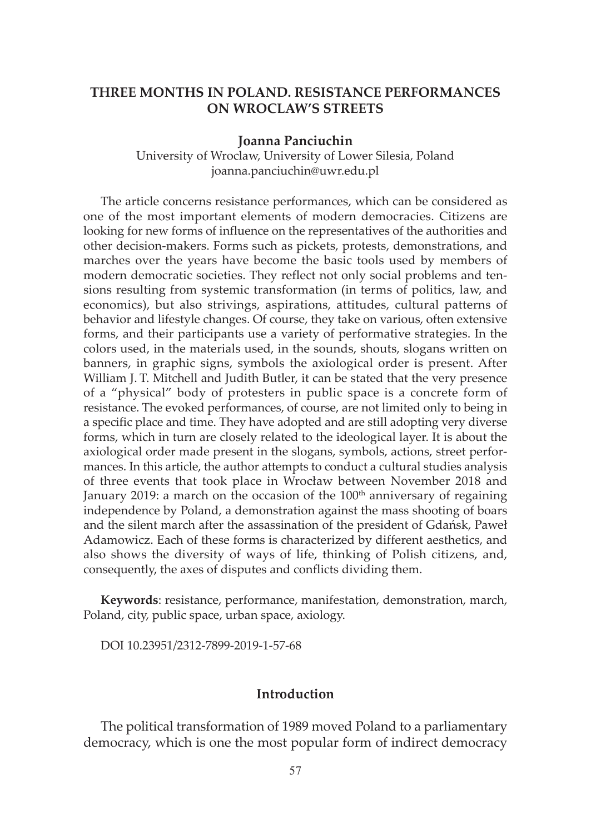# **THREE MONTHS IN POLAND. RESISTANCE PERFORMANCES ON WROCLAW'S STREETS**

#### **Joanna Panciuchin**

University of Wroclaw, University of Lower Silesia, Poland joanna.panciuchin@uwr.edu.pl

 The article concerns resistance performances, which can be considered as one of the most important elements of modern democracies. Citizens are looking for new forms of influence on the representatives of the authorities and other decision-makers. Forms such as pickets, protests, demonstrations, and marches over the years have become the basic tools used by members of modern democratic societies. They reflect not only social problems and tensions resulting from systemic transformation (in terms of politics, law, and economics), but also strivings, aspirations, attitudes, cultural patterns of behavior and lifestyle changes. Of course, they take on various, often extensive forms, and their participants use a variety of performative strategies. In the colors used, in the materials used, in the sounds, shouts, slogans written on banners, in graphic signs, symbols the axiological order is present. After William J. T. Mitchell and Judith Butler, it can be stated that the very presence of a "physical" body of protesters in public space is a concrete form of resistance. The evoked performances, of course, are not limited only to being in a specific place and time. They have adopted and are still adopting very diverse forms, which in turn are closely related to the ideological layer. It is about the axiological order made present in the slogans, symbols, actions, street performances. In this article, the author attempts to conduct a cultural studies analysis of three events that took place in Wrocław between November 2018 and January 2019: a march on the occasion of the  $100<sup>th</sup>$  anniversary of regaining independence by Poland, a demonstration against the mass shooting of boars and the silent march after the assassination of the president of Gdańsk, Paweł Adamowicz. Each of these forms is characterized by different aesthetics, and also shows the diversity of ways of life, thinking of Polish citizens, and, consequently, the axes of disputes and conflicts dividing them.

**Keywords**: resistance, performance, manifestation, demonstration, march, Poland, city, public space, urban space, axiology.

DOI 10.23951/2312-7899-2019-1-57-68

## **Introduction**

The political transformation of 1989 moved Poland to a parliamentary democracy, which is one the most popular form of indirect democracy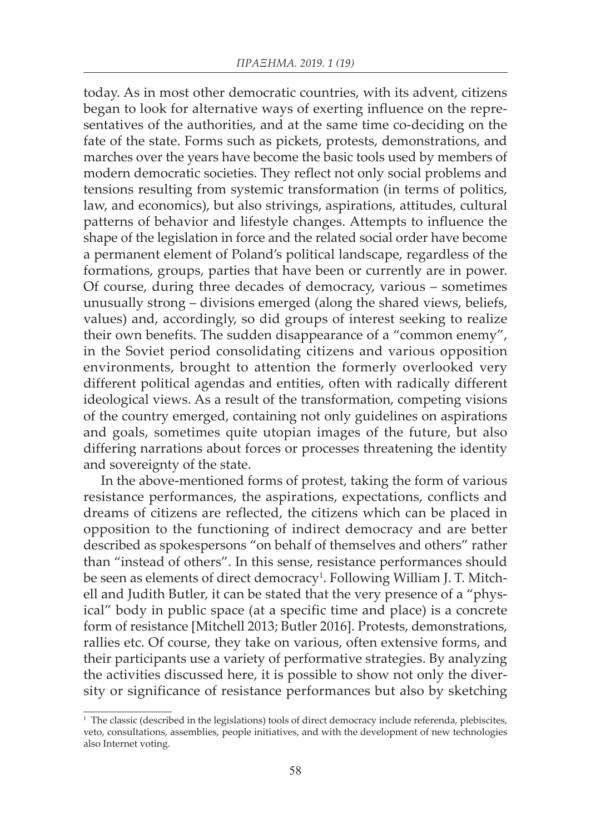today. As in most other democratic countries, with its advent, citizens began to look for alternative ways of exerting influence on the representatives of the authorities, and at the same time co-deciding on the fate of the state. Forms such as pickets, protests, demonstrations, and marches over the years have become the basic tools used by members of modern democratic societies. They reflect not only social problems and tensions resulting from systemic transformation (in terms of politics, law, and economics), but also strivings, aspirations, attitudes, cultural patterns of behavior and lifestyle changes. Attempts to influence the shape of the legislation in force and the related social order have become a permanent element of Poland's political landscape, regardless of the formations, groups, parties that have been or currently are in power. Of course, during three decades of democracy, various – sometimes unusually strong – divisions emerged (along the shared views, beliefs, values) and, accordingly, so did groups of interest seeking to realize their own benefits. The sudden disappearance of a "common enemy", in the Soviet period consolidating citizens and various opposition environments, brought to attention the formerly overlooked very different political agendas and entities, often with radically different ideological views. As a result of the transformation, competing visions of the country emerged, containing not only guidelines on aspirations and goals, sometimes quite utopian images of the future, but also differing narrations about forces or processes threatening the identity and sovereignty of the state.

In the above-mentioned forms of protest, taking the form of various resistance performances, the aspirations, expectations, conflicts and dreams of citizens are reflected, the citizens which can be placed in opposition to the functioning of indirect democracy and are better described as spokespersons "on behalf of themselves and others" rather than "instead of others". In this sense, resistance performances should be seen as elements of direct democracy<sup>1</sup>. Following William J. T. Mitchell and Judith Butler, it can be stated that the very presence of a "physical" body in public space (at a specific time and place) is a concrete form of resistance [Mitchell 2013; Butler 2016]. Protests, demonstrations, rallies etc. Of course, they take on various, often extensive forms, and their participants use a variety of performative strategies. By analyzing the activities discussed here, it is possible to show not only the diversity or significance of resistance performances but also by sketching

<sup>&</sup>lt;sup>1</sup> The classic (described in the legislations) tools of direct democracy include referenda, plebiscites, veto, consultations, assemblies, people initiatives, and with the development of new technologies also Internet voting.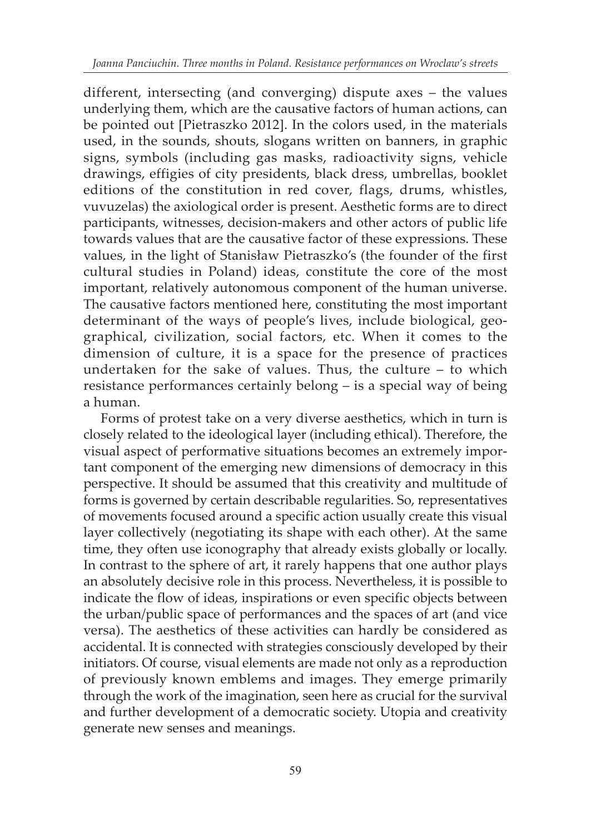different, intersecting (and converging) dispute axes – the values underlying them, which are the causative factors of human actions, can be pointed out [Pietraszko 2012]. In the colors used, in the materials used, in the sounds, shouts, slogans written on banners, in graphic signs, symbols (including gas masks, radioactivity signs, vehicle drawings, effigies of city presidents, black dress, umbrellas, booklet editions of the constitution in red cover, flags, drums, whistles, vuvuzelas) the axiological order is present. Aesthetic forms are to direct participants, witnesses, decision-makers and other actors of public life towards values that are the causative factor of these expressions. These values, in the light of Stanisław Pietraszko's (the founder of the first cultural studies in Poland) ideas, constitute the core of the most important, relatively autonomous component of the human universe. The causative factors mentioned here, constituting the most important determinant of the ways of people's lives, include biological, geographical, civilization, social factors, etc. When it comes to the dimension of culture, it is a space for the presence of practices undertaken for the sake of values. Thus, the culture – to which resistance performances certainly belong – is a special way of being a human.

Forms of protest take on a very diverse aesthetics, which in turn is closely related to the ideological layer (including ethical). Therefore, the visual aspect of performative situations becomes an extremely important component of the emerging new dimensions of democracy in this perspective. It should be assumed that this creativity and multitude of forms is governed by certain describable regularities. So, representatives of movements focused around a specific action usually create this visual layer collectively (negotiating its shape with each other). At the same time, they often use iconography that already exists globally or locally. In contrast to the sphere of art, it rarely happens that one author plays an absolutely decisive role in this process. Nevertheless, it is possible to indicate the flow of ideas, inspirations or even specific objects between the urban/public space of performances and the spaces of art (and vice versa). The aesthetics of these activities can hardly be considered as accidental. It is connected with strategies consciously developed by their initiators. Of course, visual elements are made not only as a reproduction of previously known emblems and images. They emerge primarily through the work of the imagination, seen here as crucial for the survival and further development of a democratic society. Utopia and creativity generate new senses and meanings.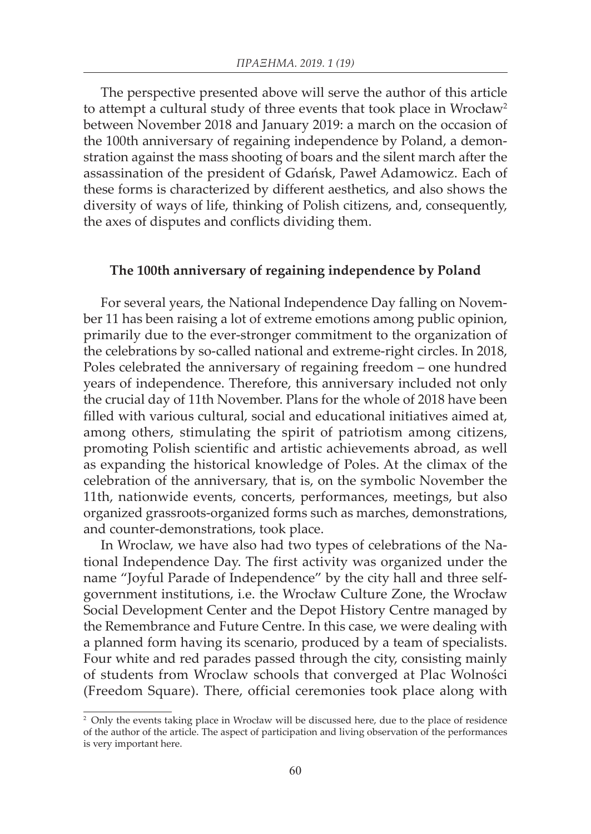The perspective presented above will serve the author of this article to attempt a cultural study of three events that took place in Wrocław<sup>2</sup> between November 2018 and January 2019: a march on the occasion of the 100th anniversary of regaining independence by Poland, a demonstration against the mass shooting of boars and the silent march after the assassination of the president of Gdańsk, Paweł Adamowicz. Each of these forms is characterized by different aesthetics, and also shows the diversity of ways of life, thinking of Polish citizens, and, consequently, the axes of disputes and conflicts dividing them.

### **The 100th anniversary of regaining independence by Poland**

For several years, the National Independence Day falling on November 11 has been raising a lot of extreme emotions among public opinion, primarily due to the ever-stronger commitment to the organization of the celebrations by so-called national and extreme-right circles. In 2018, Poles celebrated the anniversary of regaining freedom – one hundred years of independence. Therefore, this anniversary included not only the crucial day of 11th November. Plans for the whole of 2018 have been filled with various cultural, social and educational initiatives aimed at, among others, stimulating the spirit of patriotism among citizens, promoting Polish scientific and artistic achievements abroad, as well as expanding the historical knowledge of Poles. At the climax of the celebration of the anniversary, that is, on the symbolic November the 11th, nationwide events, concerts, performances, meetings, but also organized grassroots-organized forms such as marches, demonstrations, and counter-demonstrations, took place.

In Wroclaw, we have also had two types of celebrations of the National Independence Day. The first activity was organized under the name "Joyful Parade of Independence" by the city hall and three selfgovernment institutions, i.e. the Wrocław Culture Zone, the Wrocław Social Development Center and the Depot History Centre managed by the Remembrance and Future Centre. In this case, we were dealing with a planned form having its scenario, produced by a team of specialists. Four white and red parades passed through the city, consisting mainly of students from Wroclaw schools that converged at Plac Wolności (Freedom Square). There, official ceremonies took place along with

<sup>&</sup>lt;sup>2</sup> Only the events taking place in Wrocław will be discussed here, due to the place of residence of the author of the article. The aspect of participation and living observation of the performances is very important here.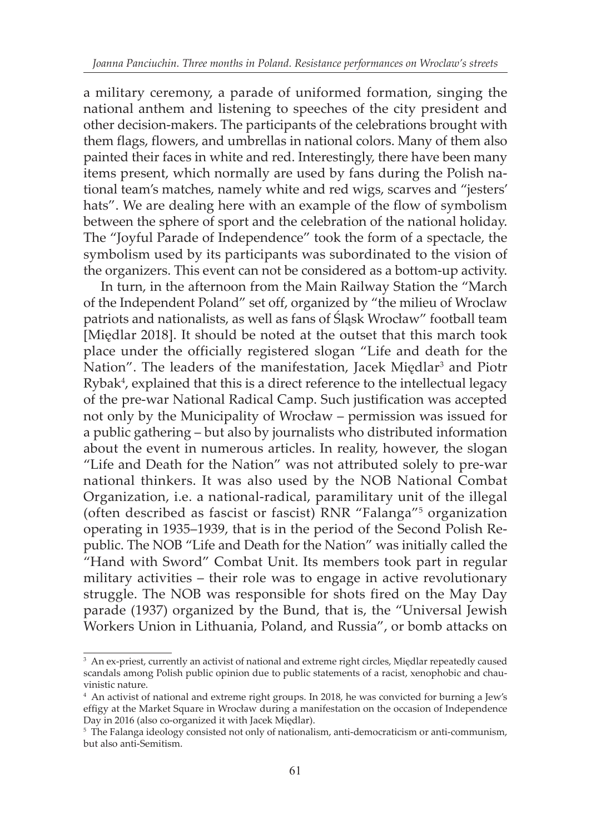a military ceremony, a parade of uniformed formation, singing the national anthem and listening to speeches of the city president and other decision-makers. The participants of the celebrations brought with them flags, flowers, and umbrellas in national colors. Many of them also painted their faces in white and red. Interestingly, there have been many items present, which normally are used by fans during the Polish national team's matches, namely white and red wigs, scarves and "jesters' hats". We are dealing here with an example of the flow of symbolism between the sphere of sport and the celebration of the national holiday. The "Joyful Parade of Independence" took the form of a spectacle, the symbolism used by its participants was subordinated to the vision of the organizers. This event can not be considered as a bottom-up activity.

In turn, in the afternoon from the Main Railway Station the "March of the Independent Poland" set off, organized by "the milieu of Wroclaw patriots and nationalists, as well as fans of Śląsk Wrocław" football team [Międlar 2018]. It should be noted at the outset that this march took place under the officially registered slogan "Life and death for the Nation". The leaders of the manifestation, Jacek Międlar<sup>3</sup> and Piotr Rybak4 , explained that this is a direct reference to the intellectual legacy of the pre-war National Radical Camp. Such justification was accepted not only by the Municipality of Wrocław – permission was issued for a public gathering – but also by journalists who distributed information about the event in numerous articles. In reality, however, the slogan "Life and Death for the Nation" was not attributed solely to pre-war national thinkers. It was also used by the NOB National Combat Organization, i.e. a national-radical, paramilitary unit of the illegal (often described as fascist or fascist) RNR "Falanga"5 organization operating in 1935–1939, that is in the period of the Second Polish Republic. The NOB "Life and Death for the Nation" was initially called the "Hand with Sword" Combat Unit. Its members took part in regular military activities – their role was to engage in active revolutionary struggle. The NOB was responsible for shots fired on the May Day parade (1937) organized by the Bund, that is, the "Universal Jewish Workers Union in Lithuania, Poland, and Russia", or bomb attacks on

<sup>&</sup>lt;sup>3</sup> An ex-priest, currently an activist of national and extreme right circles, Międlar repeatedly caused scandals among Polish public opinion due to public statements of a racist, xenophobic and chauvinistic nature.

<sup>4</sup> An activist of national and extreme right groups. In 2018, he was convicted for burning a Jew's effigy at the Market Square in Wrocław during a manifestation on the occasion of Independence Day in 2016 (also co-organized it with Jacek Międlar).

<sup>&</sup>lt;sup>5</sup> The Falanga ideology consisted not only of nationalism, anti-democraticism or anti-communism, but also anti-Semitism.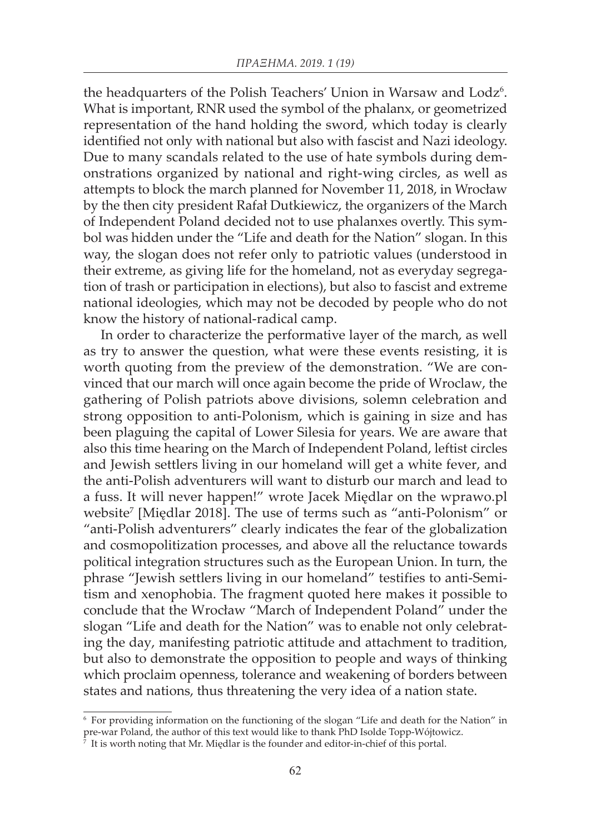the headquarters of the Polish Teachers' Union in Warsaw and Lodz<sup>6</sup>. What is important, RNR used the symbol of the phalanx, or geometrized representation of the hand holding the sword, which today is clearly identified not only with national but also with fascist and Nazi ideology. Due to many scandals related to the use of hate symbols during demonstrations organized by national and right-wing circles, as well as attempts to block the march planned for November 11, 2018, in Wrocław by the then city president Rafał Dutkiewicz, the organizers of the March of Independent Poland decided not to use phalanxes overtly. This symbol was hidden under the "Life and death for the Nation" slogan. In this way, the slogan does not refer only to patriotic values (understood in their extreme, as giving life for the homeland, not as everyday segregation of trash or participation in elections), but also to fascist and extreme national ideologies, which may not be decoded by people who do not know the history of national-radical camp.

In order to characterize the performative layer of the march, as well as try to answer the question, what were these events resisting, it is worth quoting from the preview of the demonstration. "We are convinced that our march will once again become the pride of Wroclaw, the gathering of Polish patriots above divisions, solemn celebration and strong opposition to anti-Polonism, which is gaining in size and has been plaguing the capital of Lower Silesia for years. We are aware that also this time hearing on the March of Independent Poland, leftist circles and Jewish settlers living in our homeland will get a white fever, and the anti-Polish adventurers will want to disturb our march and lead to a fuss. It will never happen!" wrote Jacek Międlar on the wprawo.pl website<sup>7</sup> [Międlar 2018]. The use of terms such as "anti-Polonism" or "anti-Polish adventurers" clearly indicates the fear of the globalization and cosmopolitization processes, and above all the reluctance towards political integration structures such as the European Union. In turn, the phrase "Jewish settlers living in our homeland" testifies to anti-Semitism and xenophobia. The fragment quoted here makes it possible to conclude that the Wrocław "March of Independent Poland" under the slogan "Life and death for the Nation" was to enable not only celebrating the day, manifesting patriotic attitude and attachment to tradition, but also to demonstrate the opposition to people and ways of thinking which proclaim openness, tolerance and weakening of borders between states and nations, thus threatening the very idea of a nation state.

<sup>6</sup> For providing information on the functioning of the slogan "Life and death for the Nation" in pre-war Poland, the author of this text would like to thank PhD Isolde Topp-Wójtowicz.

It is worth noting that Mr. Miedlar is the founder and editor-in-chief of this portal.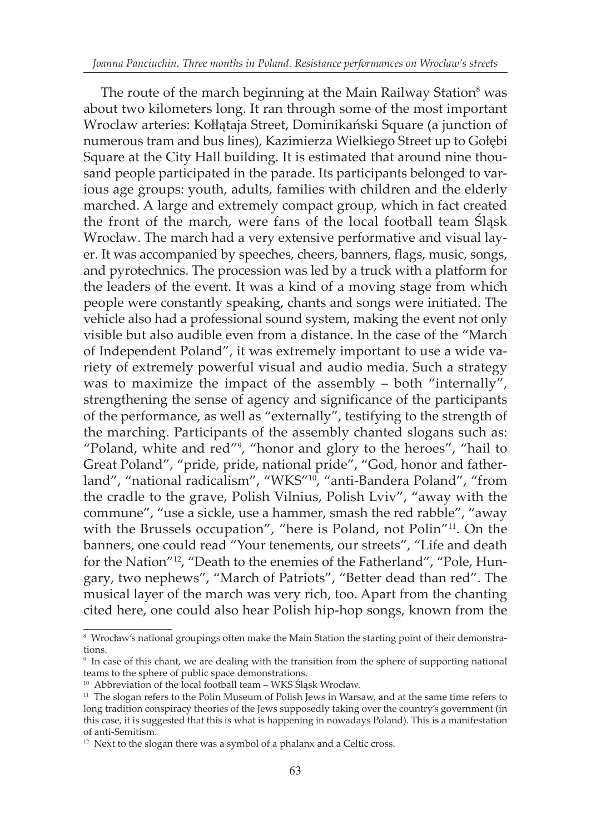The route of the march beginning at the Main Railway Station<sup>8</sup> was about two kilometers long. It ran through some of the most important Wroclaw arteries: Kołłątaja Street, Dominikański Square (a junction of numerous tram and bus lines), Kazimierza Wielkiego Street up to Gołębi Square at the City Hall building. It is estimated that around nine thousand people participated in the parade. Its participants belonged to various age groups: youth, adults, families with children and the elderly marched. A large and extremely compact group, which in fact created the front of the march, were fans of the local football team Śląsk Wrocław. The march had a very extensive performative and visual layer. It was accompanied by speeches, cheers, banners, flags, music, songs, and pyrotechnics. The procession was led by a truck with a platform for the leaders of the event. It was a kind of a moving stage from which people were constantly speaking, chants and songs were initiated. The vehicle also had a professional sound system, making the event not only visible but also audible even from a distance. In the case of the "March of Independent Poland", it was extremely important to use a wide variety of extremely powerful visual and audio media. Such a strategy was to maximize the impact of the assembly – both "internally", strengthening the sense of agency and significance of the participants of the performance, as well as "externally", testifying to the strength of the marching. Participants of the assembly chanted slogans such as: "Poland, white and red"9 , "honor and glory to the heroes", "hail to Great Poland", "pride, pride, national pride", "God, honor and fatherland", "national radicalism", "WKS"10, "anti-Bandera Poland", "from the cradle to the grave, Polish Vilnius, Polish Lviv", "away with the commune", "use a sickle, use a hammer, smash the red rabble", "away with the Brussels occupation", "here is Poland, not Polin"<sup>11</sup>. On the banners, one could read "Your tenements, our streets", "Life and death for the Nation"12, "Death to the enemies of the Fatherland", "Pole, Hungary, two nephews", "March of Patriots", "Better dead than red". The musical layer of the march was very rich, too. Apart from the chanting cited here, one could also hear Polish hip-hop songs, known from the

<sup>&</sup>lt;sup>8</sup> Wrocław's national groupings often make the Main Station the starting point of their demonstrations.

<sup>9</sup> In case of this chant, we are dealing with the transition from the sphere of supporting national teams to the sphere of public space demonstrations.

<sup>10</sup> Abbreviation of the local football team – WKS Śląsk Wrocław.

<sup>&</sup>lt;sup>11</sup> The slogan refers to the Polin Museum of Polish Jews in Warsaw, and at the same time refers to long tradition conspiracy theories of the Jews supposedly taking over the country's government (in this case, it is suggested that this is what is happening in nowadays Poland). This is a manifestation of anti-Semitism.

<sup>&</sup>lt;sup>12</sup> Next to the slogan there was a symbol of a phalanx and a Celtic cross.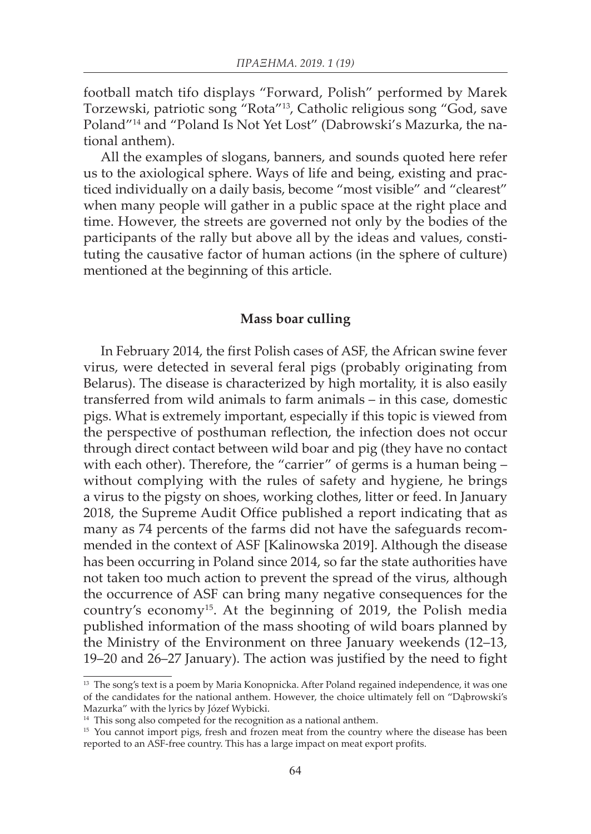football match tifo displays "Forward, Polish" performed by Marek Torzewski, patriotic song "Rota"13, Catholic religious song "God, save Poland"14 and "Poland Is Not Yet Lost" (Dabrowski's Mazurka, the national anthem).

All the examples of slogans, banners, and sounds quoted here refer us to the axiological sphere. Ways of life and being, existing and practiced individually on a daily basis, become "most visible" and "clearest" when many people will gather in a public space at the right place and time. However, the streets are governed not only by the bodies of the participants of the rally but above all by the ideas and values, constituting the causative factor of human actions (in the sphere of culture) mentioned at the beginning of this article.

### **Mass boar culling**

In February 2014, the first Polish cases of ASF, the African swine fever virus, were detected in several feral pigs (probably originating from Belarus). The disease is characterized by high mortality, it is also easily transferred from wild animals to farm animals – in this case, domestic pigs. What is extremely important, especially if this topic is viewed from the perspective of posthuman reflection, the infection does not occur through direct contact between wild boar and pig (they have no contact with each other). Therefore, the "carrier" of germs is a human being – without complying with the rules of safety and hygiene, he brings a virus to the pigsty on shoes, working clothes, litter or feed. In January 2018, the Supreme Audit Office published a report indicating that as many as 74 percents of the farms did not have the safeguards recommended in the context of ASF [Kalinowska 2019]. Although the disease has been occurring in Poland since 2014, so far the state authorities have not taken too much action to prevent the spread of the virus, although the occurrence of ASF can bring many negative consequences for the country's economy15. At the beginning of 2019, the Polish media published information of the mass shooting of wild boars planned by the Ministry of the Environment on three January weekends (12–13, 19–20 and 26–27 January). The action was justified by the need to fight

<sup>&</sup>lt;sup>13</sup> The song's text is a poem by Maria Konopnicka. After Poland regained independence, it was one of the candidates for the national anthem. However, the choice ultimately fell on "Dąbrowski's Mazurka" with the lyrics by Józef Wybicki.

<sup>&</sup>lt;sup>14</sup> This song also competed for the recognition as a national anthem.

<sup>&</sup>lt;sup>15</sup> You cannot import pigs, fresh and frozen meat from the country where the disease has been reported to an ASF-free country. This has a large impact on meat export profits.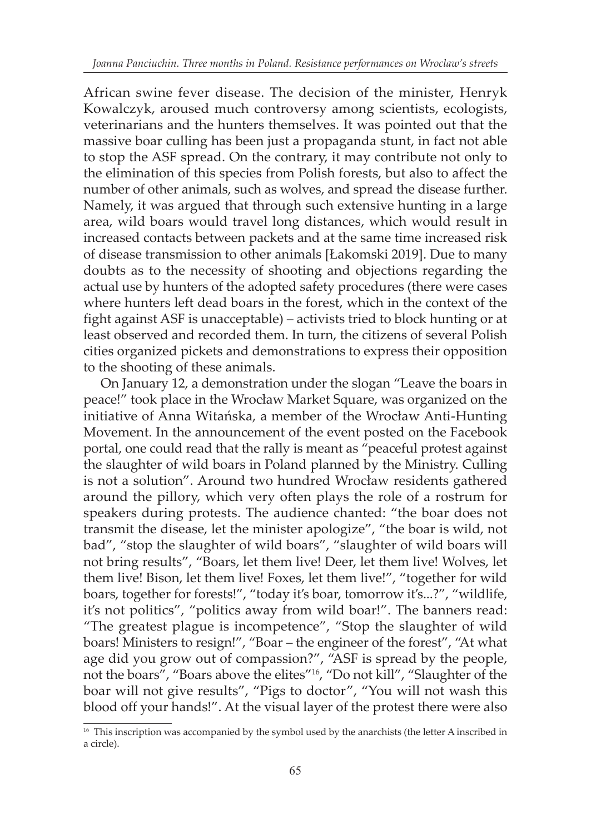African swine fever disease. The decision of the minister, Henryk Kowalczyk, aroused much controversy among scientists, ecologists, veterinarians and the hunters themselves. It was pointed out that the massive boar culling has been just a propaganda stunt, in fact not able to stop the ASF spread. On the contrary, it may contribute not only to the elimination of this species from Polish forests, but also to affect the number of other animals, such as wolves, and spread the disease further. Namely, it was argued that through such extensive hunting in a large area, wild boars would travel long distances, which would result in increased contacts between packets and at the same time increased risk of disease transmission to other animals [Łakomski 2019]. Due to many doubts as to the necessity of shooting and objections regarding the actual use by hunters of the adopted safety procedures (there were cases where hunters left dead boars in the forest, which in the context of the fight against ASF is unacceptable) – activists tried to block hunting or at least observed and recorded them. In turn, the citizens of several Polish cities organized pickets and demonstrations to express their opposition to the shooting of these animals.

On January 12, a demonstration under the slogan "Leave the boars in peace!" took place in the Wrocław Market Square, was organized on the initiative of Anna Witańska, a member of the Wrocław Anti-Hunting Movement. In the announcement of the event posted on the Facebook portal, one could read that the rally is meant as "peaceful protest against the slaughter of wild boars in Poland planned by the Ministry. Culling is not a solution". Around two hundred Wrocław residents gathered around the pillory, which very often plays the role of a rostrum for speakers during protests. The audience chanted: "the boar does not transmit the disease, let the minister apologize", "the boar is wild, not bad", "stop the slaughter of wild boars", "slaughter of wild boars will not bring results", "Boars, let them live! Deer, let them live! Wolves, let them live! Bison, let them live! Foxes, let them live!", "together for wild boars, together for forests!", "today it's boar, tomorrow it's...?", "wildlife, it's not politics", "politics away from wild boar!". The banners read: "The greatest plague is incompetence", "Stop the slaughter of wild boars! Ministers to resign!", "Boar – the engineer of the forest", "At what age did you grow out of compassion?", "ASF is spread by the people, not the boars", "Boars above the elites"16, "Do not kill", "Slaughter of the boar will not give results", "Pigs to doctor", "You will not wash this blood off your hands!". At the visual layer of the protest there were also

<sup>&</sup>lt;sup>16</sup> This inscription was accompanied by the symbol used by the anarchists (the letter A inscribed in a circle).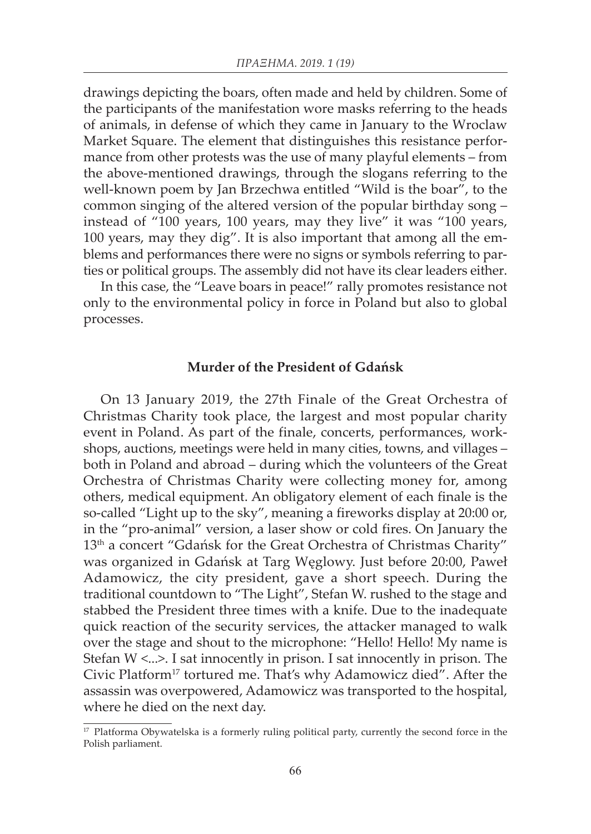drawings depicting the boars, often made and held by children. Some of the participants of the manifestation wore masks referring to the heads of animals, in defense of which they came in January to the Wroclaw Market Square. The element that distinguishes this resistance performance from other protests was the use of many playful elements – from the above-mentioned drawings, through the slogans referring to the well-known poem by Jan Brzechwa entitled "Wild is the boar", to the common singing of the altered version of the popular birthday song – instead of "100 years, 100 years, may they live" it was "100 years, 100 years, may they dig". It is also important that among all the emblems and performances there were no signs or symbols referring to parties or political groups. The assembly did not have its clear leaders either.

In this case, the "Leave boars in peace!" rally promotes resistance not only to the environmental policy in force in Poland but also to global processes.

### **Murder of the President of Gdańsk**

On 13 January 2019, the 27th Finale of the Great Orchestra of Christmas Charity took place, the largest and most popular charity event in Poland. As part of the finale, concerts, performances, workshops, auctions, meetings were held in many cities, towns, and villages – both in Poland and abroad – during which the volunteers of the Great Orchestra of Christmas Charity were collecting money for, among others, medical equipment. An obligatory element of each finale is the so-called "Light up to the sky", meaning a fireworks display at 20:00 or, in the "pro-animal" version, a laser show or cold fires. On January the 13<sup>th</sup> a concert "Gdańsk for the Great Orchestra of Christmas Charity" was organized in Gdańsk at Targ Węglowy. Just before 20:00, Paweł Adamowicz, the city president, gave a short speech. During the traditional countdown to "The Light", Stefan W. rushed to the stage and stabbed the President three times with a knife. Due to the inadequate quick reaction of the security services, the attacker managed to walk over the stage and shout to the microphone: "Hello! Hello! My name is Stefan W <...>. I sat innocently in prison. I sat innocently in prison. The Civic Platform<sup>17</sup> tortured me. That's why Adamowicz died". After the assassin was overpowered, Adamowicz was transported to the hospital, where he died on the next day.

<sup>&</sup>lt;sup>17</sup> Platforma Obywatelska is a formerly ruling political party, currently the second force in the Polish parliament.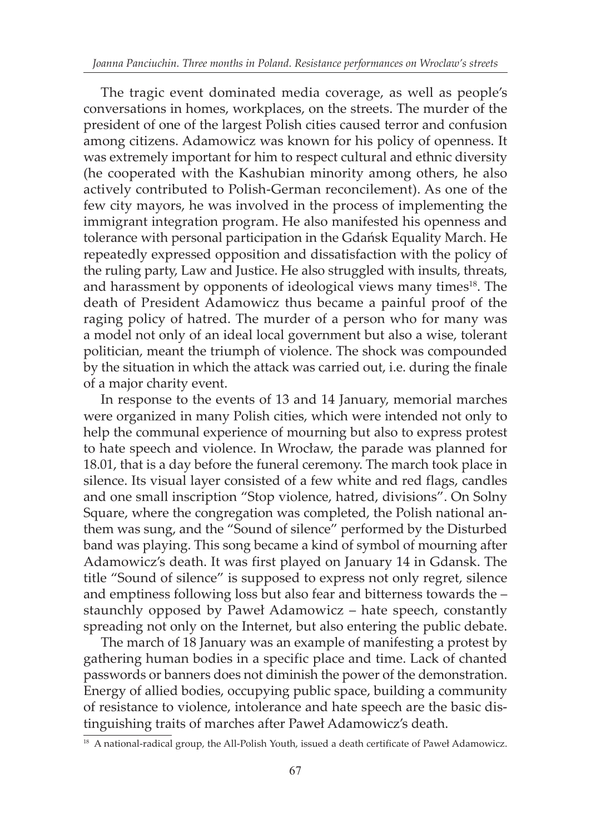The tragic event dominated media coverage, as well as people's conversations in homes, workplaces, on the streets. The murder of the president of one of the largest Polish cities caused terror and confusion among citizens. Adamowicz was known for his policy of openness. It was extremely important for him to respect cultural and ethnic diversity (he cooperated with the Kashubian minority among others, he also actively contributed to Polish-German reconcilement). As one of the few city mayors, he was involved in the process of implementing the immigrant integration program. He also manifested his openness and tolerance with personal participation in the Gdańsk Equality March. He repeatedly expressed opposition and dissatisfaction with the policy of the ruling party, Law and Justice. He also struggled with insults, threats, and harassment by opponents of ideological views many times<sup>18</sup>. The death of President Adamowicz thus became a painful proof of the raging policy of hatred. The murder of a person who for many was a model not only of an ideal local government but also a wise, tolerant politician, meant the triumph of violence. The shock was compounded by the situation in which the attack was carried out, i.e. during the finale of a major charity event.

In response to the events of 13 and 14 January, memorial marches were organized in many Polish cities, which were intended not only to help the communal experience of mourning but also to express protest to hate speech and violence. In Wrocław, the parade was planned for 18.01, that is a day before the funeral ceremony. The march took place in silence. Its visual layer consisted of a few white and red flags, candles and one small inscription "Stop violence, hatred, divisions". On Solny Square, where the congregation was completed, the Polish national anthem was sung, and the "Sound of silence" performed by the Disturbed band was playing. This song became a kind of symbol of mourning after Adamowicz's death. It was first played on January 14 in Gdansk. The title "Sound of silence" is supposed to express not only regret, silence and emptiness following loss but also fear and bitterness towards the – staunchly opposed by Paweł Adamowicz – hate speech, constantly spreading not only on the Internet, but also entering the public debate.

The march of 18 January was an example of manifesting a protest by gathering human bodies in a specific place and time. Lack of chanted passwords or banners does not diminish the power of the demonstration. Energy of allied bodies, occupying public space, building a community of resistance to violence, intolerance and hate speech are the basic distinguishing traits of marches after Paweł Adamowicz's death.

<sup>&</sup>lt;sup>18</sup> A national-radical group, the All-Polish Youth, issued a death certificate of Paweł Adamowicz.